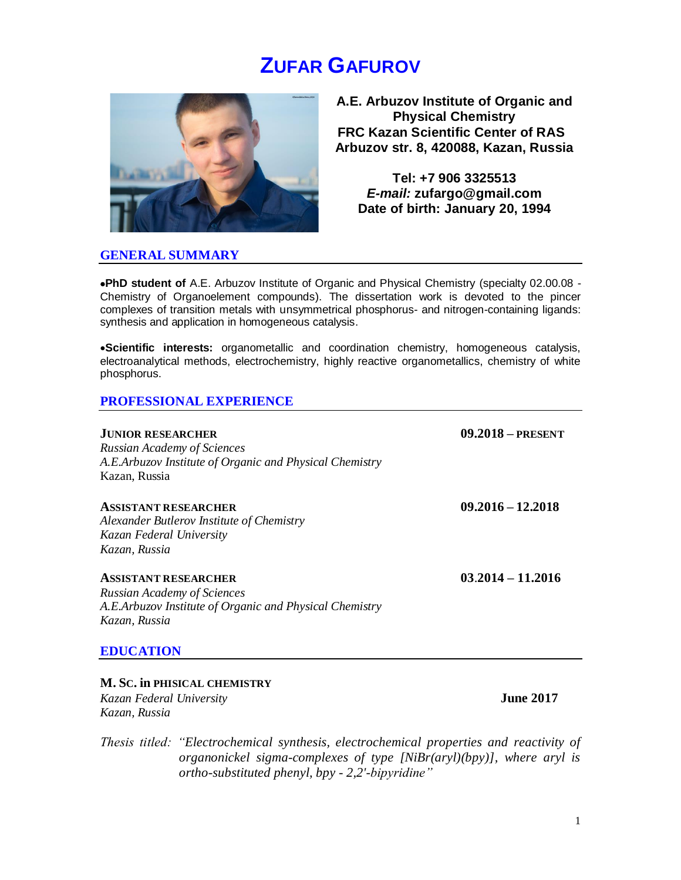# **ZUFAR GAFUROV**



**A.E. Arbuzov Institute of Organic and Physical Chemistry FRC Kazan Scientific Center of RAS Arbuzov str. 8, 420088, Kazan, Russia**

**Tel: +7 906 3325513** *E-mail:* **zufargo@gmail.com Date of birth: January 20, 1994**

#### **GENERAL SUMMARY**

**PhD student of** A.E. Arbuzov Institute of Organic and Physical Chemistry (specialty 02.00.08 - Chemistry of Organoelement compounds). The dissertation work is devoted to the pincer complexes of transition metals with unsymmetrical phosphorus- and nitrogen-containing ligands: synthesis and application in homogeneous catalysis.

**Scientific interests:** organometallic and coordination chemistry, homogeneous catalysis, electroanalytical methods, electrochemistry, highly reactive organometallics, chemistry of white phosphorus.

#### **PROFESSIONAL EXPERIENCE**

| <b>JUNIOR RESEARCHER</b>                                | $09.2018 - PRESENT$ |
|---------------------------------------------------------|---------------------|
| <b>Russian Academy of Sciences</b>                      |                     |
| A.E.Arbuzov Institute of Organic and Physical Chemistry |                     |
| Kazan, Russia                                           |                     |
| <b>ASSISTANT RESEARCHER</b>                             | $09.2016 - 12.2018$ |
| Alexander Butlerov Institute of Chemistry               |                     |
| Kazan Federal University                                |                     |
| Kazan, Russia                                           |                     |
| <b>ASSISTANT RESEARCHER</b>                             | $03.2014 - 11.2016$ |
| <b>Russian Academy of Sciences</b>                      |                     |
| A.E.Arbuzov Institute of Organic and Physical Chemistry |                     |
| Kazan, Russia                                           |                     |
| <b>EDUCATION</b>                                        |                     |
| M. Sc. in PHISICAL CHEMISTRY                            |                     |

# *Kazan Federal University* **June 2017**

*Kazan, Russia*

*Thesis titled: "Electrochemical synthesis, electrochemical properties and reactivity of organonickel sigma-complexes of type [NiBr(aryl)(bpy)], where aryl is ortho-substituted phenyl, bpy - 2,2'-bipyridine"*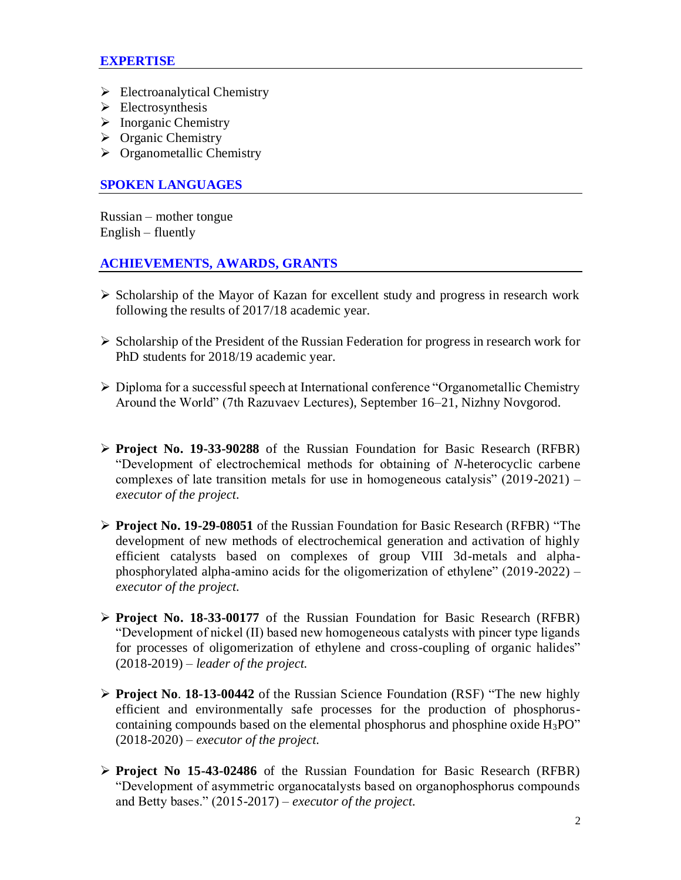#### **EXPERTISE**

- $\triangleright$  Electroanalytical Chemistry
- $\triangleright$  Electrosynthesis
- $\triangleright$  Inorganic Chemistry
- $\triangleright$  Organic Chemistry
- $\triangleright$  Organometallic Chemistry

#### **SPOKEN LANGUAGES**

Russian – mother tongue English – fluently

#### **ACHIEVEMENTS, AWARDS, GRANTS**

- $\triangleright$  Scholarship of the Mayor of Kazan for excellent study and progress in research work following the results of 2017/18 academic year.
- $\triangleright$  Scholarship of the President of the Russian Federation for progress in research work for PhD students for 2018/19 academic year.
- Diploma for a successful speech at International conference "Organometallic Chemistry Around the World" (7th Razuvaev Lectures), September 16–21, Nizhny Novgorod.
- **Project No. 19-33-90288** of the Russian Foundation for Basic Research (RFBR) "Development of electrochemical methods for obtaining of *N*-heterocyclic carbene complexes of late transition metals for use in homogeneous catalysis" (2019-2021) – *executor of the project.*
- **Project No. 19-29-08051** of the Russian Foundation for Basic Research (RFBR) "The development of new methods of electrochemical generation and activation of highly efficient catalysts based on complexes of group VIII 3d-metals and alphaphosphorylated alpha-amino acids for the oligomerization of ethylene" (2019-2022) – *executor of the project.*
- **Project No. 18-33-00177** of the Russian Foundation for Basic Research (RFBR) "Development of nickel (II) based new homogeneous catalysts with pincer type ligands for processes of oligomerization of ethylene and cross-coupling of organic halides" (2018-2019) *– leader of the project.*
- **Project No**. **18-13-00442** of the Russian Science Foundation (RSF) "The new highly efficient and environmentally safe processes for the production of phosphoruscontaining compounds based on the elemental phosphorus and phosphine oxide H3PO" (2018-2020) – *executor of the project.*
- **Project No 15-43-02486** of the Russian Foundation for Basic Research (RFBR) "Development of asymmetric organocatalysts based on organophosphorus compounds and Betty bases." (2015-2017) – *executor of the project.*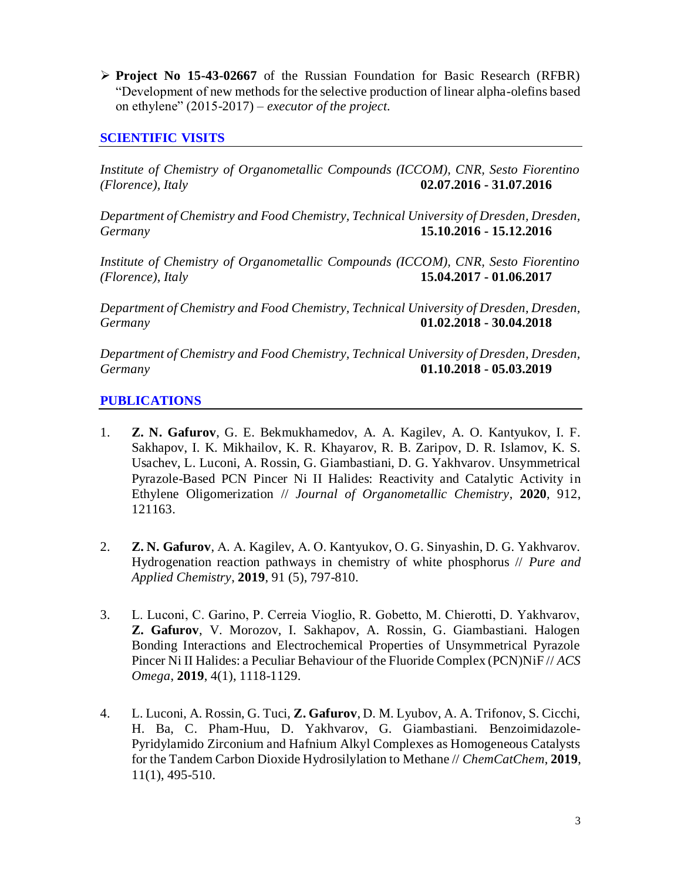**Project No 15-43-02667** of the Russian Foundation for Basic Research (RFBR) "Development of new methods for the selective production of linear alpha-olefins based on ethylene" (2015-2017) – *executor of the project.*

## **SCIENTIFIC VISITS**

*Institute of Chemistry of Organometallic Compounds (ICCOM), CNR, Sesto Fiorentino (Florence), Italy* **02.07.2016 - 31.07.2016**

*Department of Chemistry and Food Chemistry, Technical University of Dresden, Dresden, Germany* **15.10.2016 - 15.12.2016**

*Institute of Chemistry of Organometallic Compounds (ICCOM), CNR, Sesto Fiorentino (Florence), Italy* **15.04.2017 - 01.06.2017**

*Department of Chemistry and Food Chemistry, Technical University of Dresden, Dresden, Germany* **01.02.2018 - 30.04.2018**

*Department of Chemistry and Food Chemistry, Technical University of Dresden, Dresden, Germany* **01.10.2018 - 05.03.2019**

### **PUBLICATIONS**

- 1. **Z. N. Gafurov**, G. E. Bekmukhamedov, A. A. Kagilev, A. O. Kantyukov, I. F. Sakhapov, I. K. Mikhailov, K. R. Khayarov, R. B. Zaripov, D. R. Islamov, K. S. Usachev, L. Luconi, A. Rossin, G. Giambastiani, D. G. Yakhvarov. Unsymmetrical Pyrazole-Based PCN Pincer Ni II Halides: Reactivity and Catalytic Activity in Ethylene Oligomerization // *Journal of Organometallic Chemistry*, **2020**, 912, 121163.
- 2. **Z. N. Gafurov**, А. А. Kagilev, А. О. Kantyukov, O. G. Sinyashin, D. G. Yakhvarov. Hydrogenation reaction pathways in chemistry of white phosphorus // *Pure and Applied Chemistry*, **2019**, 91 (5), 797-810.
- 3. L. Luconi, С. Garino, P. Cerreia Vioglio, R. Gobetto, M. Chierotti, D. Yakhvarov, **Z. Gafurov**, V. Morozov, I. Sakhapov, A. Rossin, G. Giambastiani. Halogen Bonding Interactions and Electrochemical Properties of Unsymmetrical Pyrazole Pincer Ni II Halides: a Peculiar Behaviour of the Fluoride Complex (PCN)NiF // *ACS Omega*, **2019**, 4(1), 1118-1129.
- 4. L. Luconi, A. Rossin, G. Tuci, **Z. Gafurov**, D. M. Lyubov, A. A. Trifonov, S. Cicchi, H. Ba, C. Pham-Huu, D. Yakhvarov, G. Giambastiani. Benzoimidazole-Pyridylamido Zirconium and Hafnium Alkyl Complexes as Homogeneous Catalysts for the Tandem Carbon Dioxide Hydrosilylation to Methane // *ChemCatChem*, **2019**, 11(1), 495-510.